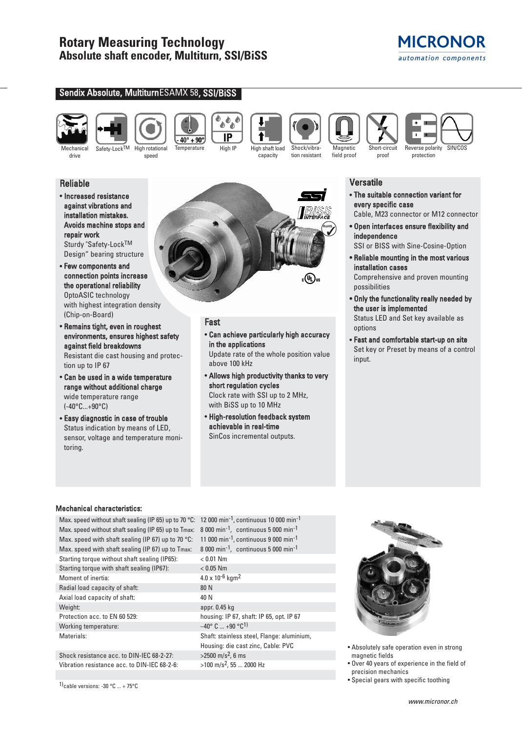





speed

Sendix Absolute, Multiturn ESAMX 58, SSI/BISS

しゅ IP  $40^\circ + 90^\circ$ 



tion resistant





**MICRONOR** automation components

Versatile

- The suitable connection variant for every specific case
- Cable, M23 connector or M12 connector
- Open interfaces ensure flexibility and independence

SSI or BISS with Sine-Cosine-Option

- Reliable mounting in the most various installation cases Comprehensive and proven mounting possibilities
- Only the functionality really needed by the user is implemented

Status LED and Set key available as options

• Fast and comfortable start-up on site Set key or Preset by means of a control input.

# Reliable

drive

- Increased resistance against vibrations and installation mistakes. Avoids machine stops and repair work Sturdy "Safety-LockTM Design" bearing structure
- Few components and connection points increase the operational reliability OptoASIC technology with highest integration density (Chip-on-Board)
- Remains tight, even in roughest environments, ensures highest safety against field breakdowns Resistant die cast housing and protec-

tion up to IP 67

- Can be used in a wide temperature range without additional charge wide temperature range (-40°C...+90°C)
- Easy diagnostic in case of trouble Status indication by means of LED, sensor, voltage and temperature monitoring.



# Fast

• Can achieve particularly high accuracy in the applications

Update rate of the whole position value above 100 kHz

- Allows high productivity thanks to very short regulation cycles Clock rate with SSI up to 2 MHz, with BiSS up to 10 MHz
- High-resolution feedback system achievable in real-time SinCos incremental outputs.

# Mechanical characteristics:

Max. speed without shaft sealing (IP 65) up to 70 °C: 12 000 min<sup>-1</sup>, continuous 10 000 min<sup>-1</sup> Max. speed without shaft sealing (IP 65) up to Tmax: 8 000 min<sup>-1</sup>, continuous 5 000 min<sup>-1</sup> Max. speed with shaft sealing (IP 67) up to 70 °C: 11 000 min<sup>-1</sup>, continuous 9 000 min<sup>-1</sup> Max. speed with shaft sealing (IP 67) up to Tmax: 8 000 min<sup>-1</sup>, continuous 5 000 min<sup>-1</sup> Starting torque without shaft sealing (IP65): < 0.01 Nm Starting torque with shaft sealing (IP67): < 0.05 Nm Moment of inertia:  $4.0 \times 10^{-6}$  kgm<sup>2</sup> Radial load capacity of shaft: 80 N Axial load capacity of shaft: 40 N Weight: appr. 0.45 kg Protection acc. to EN 60 529: housing: IP 67, shaft: IP 65, opt. IP 67 Working temperature:  $-40^{\circ}$  C ... +90  $^{\circ}$ C<sup>1)</sup> Materials: Shaft: stainless steel, Flange: aluminium,

Shock resistance acc. to DIN-IEC 68-2-27:  $>2500 \text{ m/s}^2$ , 6 ms Vibration resistance acc. to DIN-IEC 68-2-6:  $>100 \text{ m/s}^2$ , 55 ... 2000 Hz

1)cable versions: -30  $\degree$ C ... + 75 $\degree$ C

Housing: die cast zinc, Cable: PVC



- Absolutely safe operation even in strong magnetic fields
- Over 40 years of experience in the field of precision mechanics
- Special gears with specific toothing

Temperature High IP High shaft load capacity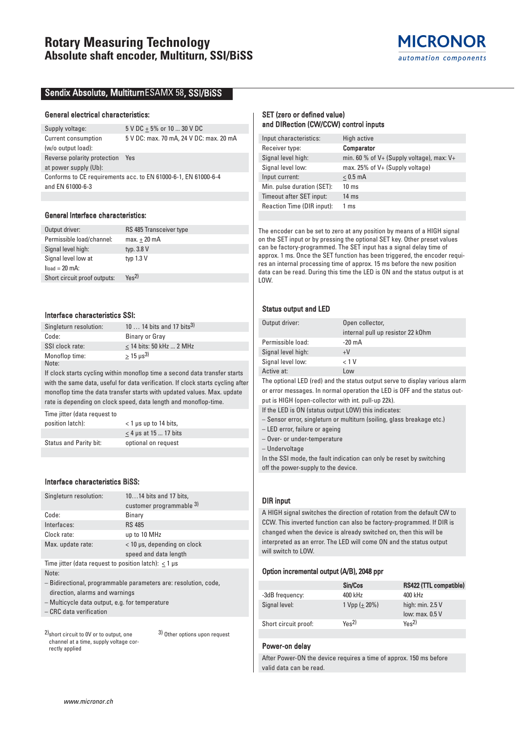

## Sendix Absolute, Multiturn ESAMX 58 , SSI/BiSS

#### General electrical characteristics:

| Supply voltage:                                                | 5 V DC + 5% or 10  30 V DC |                                         |
|----------------------------------------------------------------|----------------------------|-----------------------------------------|
| Current consumption                                            |                            | 5 V DC: max. 70 mA, 24 V DC: max. 20 mA |
| (w/o output load):                                             |                            |                                         |
| Reverse polarity protection                                    | Yes                        |                                         |
| at power supply (Ub):                                          |                            |                                         |
| Conforms to CE requirements acc. to EN 61000-6-1, EN 61000-6-4 |                            |                                         |
| and EN 61000-6-3                                               |                            |                                         |
|                                                                |                            |                                         |

#### General Interface characteristics:

| Output driver:               | RS 485 Transceiver type |
|------------------------------|-------------------------|
| Permissible load/channel:    | $max.+20$ mA            |
| Signal level high:           | typ. 3.8 V              |
| Signal level low at          | typ $1.3 V$             |
| $I$ load = 20 mA:            |                         |
| Short circuit proof outputs: | $Y_{\text{BS}}$ 2)      |

#### Interface characteristics SSI:

| Singleturn resolution: | 10  14 bits and 17 bits <sup>3)</sup> |
|------------------------|---------------------------------------|
| Code:                  | Binary or Gray                        |
| SSI clock rate:        | $<$ 14 bits: 50 kHz  2 MHz            |
| Monoflop time:         | $> 15 \text{ us}^3$                   |
| Note:                  |                                       |

If clock starts cycling within monoflop time a second data transfer starts with the same data, useful for data verification. If clock starts cycling after monoflop time the data transfer starts with updated values. Max. update rate is depending on clock speed, data length and monoflop-time.

Time jitter (data request to position latch): < 1 μs up to 14 bits,  $\leq$  4 µs at 15 ... 17 bits Status and Parity bit: optional on request

## Interface characteristics BiSS:

| Singleturn resolution:                                      | 1014 bits and 17 bits,                                          |
|-------------------------------------------------------------|-----------------------------------------------------------------|
|                                                             | customer programmable 3)                                        |
| Code:                                                       | Binary                                                          |
| Interfaces:                                                 | <b>RS 485</b>                                                   |
| Clock rate:                                                 | up to 10 MHz                                                    |
| Max. update rate:                                           | < 10 µs, depending on clock                                     |
|                                                             | speed and data length                                           |
| Time jitter (data request to position latch): $<$ 1 $\mu$ s |                                                                 |
| Note:                                                       |                                                                 |
|                                                             | - Bidirectional, programmable parameters are: resolution, code, |
|                                                             |                                                                 |

direction, alarms and warnings

– Multicycle data output, e.g. for temperature

– CRC data verification

2)short circuit to 0V or to output, one channel at a time, supply voltage correctly applied

3) Other options upon request

#### SET (zero or defined value) and DIRection (CW/CCW) control inputs

| Input characteristics:     | High active                                   |
|----------------------------|-----------------------------------------------|
| Receiver type:             | Comparator                                    |
| Signal level high:         | min. 60 % of $V+$ (Supply voltage), max: $V+$ |
| Signal level low:          | max. $25\%$ of V+ (Supply voltage)            |
| Input current:             | $< 0.5$ mA                                    |
| Min. pulse duration (SET): | 10 <sub>ms</sub>                              |
| Timeout after SET input:   | $14 \text{ ms}$                               |
| Reaction Time (DIR input): | 1 <sub>ms</sub>                               |
|                            |                                               |

The encoder can be set to zero at any position by means of a HIGH signal on the SET input or by pressing the optional SET key. Other preset values can be factory-programmed. The SET input has a signal delay time of approx. 1 ms. Once the SET function has been triggered, the encoder requires an internal processing time of approx. 15 ms before the new position data can be read. During this time the LED is ON and the status output is at LOW.

#### Status output and LED

| Output driver:     | Open collector,                   |
|--------------------|-----------------------------------|
|                    | internal pull up resistor 22 k0hm |
| Permissible load:  | $-20 \text{ mA}$                  |
| Signal level high: | $+V$                              |
| Signal level low:  | < 1 V                             |
| Active at:         | l ow                              |

The optional LED (red) and the status output serve to display various alarm or error messages. In normal operation the LED is OFF and the status output is HIGH (open-collector with int. pull-up 22k).

If the LED is ON (status output LOW) this indicates:

– Sensor error, singleturn or multiturn (soiling, glass breakage etc.)

– LED error, failure or ageing

– Over- or under-temperature

– Undervoltage

In the SSI mode, the fault indication can only be reset by switching off the power-supply to the device.

## DIR input

A HIGH signal switches the direction of rotation from the default CW to CCW. This inverted function can also be factory-programmed. If DIR is changed when the device is already switched on, then this will be interpreted as an error. The LED will come ON and the status output will switch to LOW.

#### Option incremental output (A/B), 2048 ppr

|                      | Sin/Cos            | RS422 (TTL compatible)       |
|----------------------|--------------------|------------------------------|
| -3dB frequency:      | 400 kHz            | 400 kHz                      |
| Signal level:        | $1 Vpp (+ 20%)$    | high: $min. 2.5 V$           |
|                      |                    | low: max, 0.5 V              |
| Short circuit proof: | $Y_{\text{BS}}$ 2) | $Y_{\text{BS}}$ <sup>2</sup> |

#### Power-on delay

After Power-ON the device requires a time of approx. 150 ms before valid data can be read.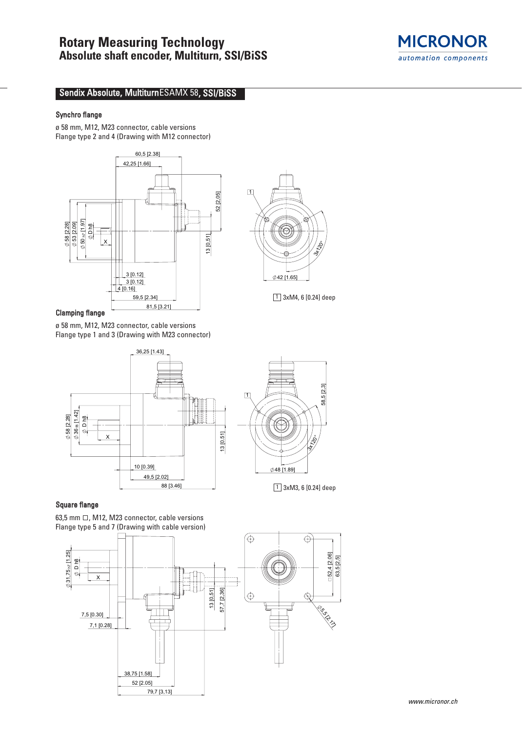

# Sendix Absolute, Multiturn ESAMX 58, SSI/BiSS

## Synchro flange

ø 58 mm, M12, M23 connector, cable versions Flange type 2 and 4 (Drawing with M12 connector)



Clamping flange

ø 58 mm, M12, M23 connector, cable versions Flange type 1 and 3 (Drawing with M23 connector)





42 [1.65]

 $\boxed{1}$  3xM4, 6  $[0.24]$  deep

 $\Box$ 

 $\frac{1}{3}$ 

 $\boxed{1}$  3xM3, 6 [0.24] deep

# Square flange

63,5 mm  $\Box$ , M12, M23 connector, cable versions Flange type 5 and 7 (Drawing with cable version)

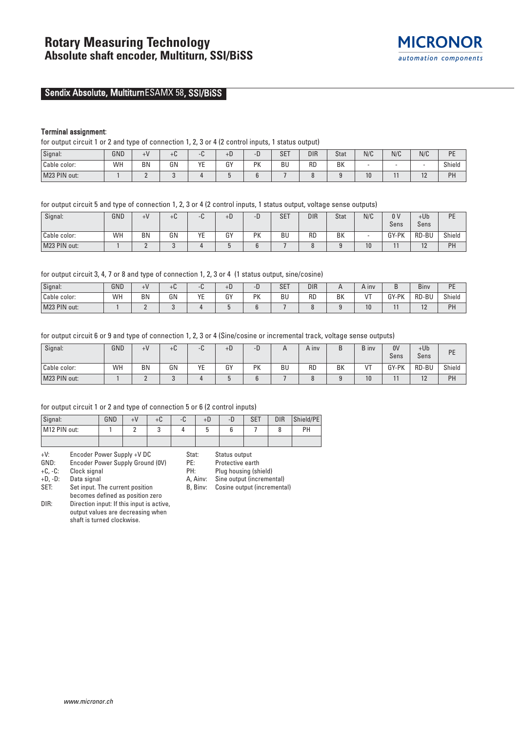

# Sendix Absolute, Multiturn ESAMX 58, SSI/BiSS

### Terminal assignment:

for output circuit 1 or 2 and type of connection 1, 2, 3 or 4 (2 control inputs, 1 status output)

| Signal:      | GND | ⊥∨        | $+o$ |         | +D.         |                 | $0-$<br>5F. | <b>DIR</b> | Stat | N/C | N/C | N/C           | <b>DE</b><br>. . |
|--------------|-----|-----------|------|---------|-------------|-----------------|-------------|------------|------|-----|-----|---------------|------------------|
| Cable color: | Wh  | <b>BN</b> | GN   | VE<br>- | $\sim$<br>u | <b>DV</b><br>'N | <b>BU</b>   | <b>RD</b>  | BK   | ٠   |     | -             | Shield           |
| M23 PIN out: |     |           |      |         |             |                 |             |            |      | 10  |     | $\sim$<br>. . | PH               |

for output circuit 5 and type of connection 1, 2, 3 or 4 (2 control inputs, 1 status output, voltage sense outputs)

| Signal:      | GND | $+V$      | $\cdot$ $\sim$<br>+u | ∼⊍⊤ | $+D$ | -D | <b>SET</b> | <b>DIR</b> | <b>Stat</b> | N/C | 0 <sup>1</sup> | $+Ub$     | PE     |
|--------------|-----|-----------|----------------------|-----|------|----|------------|------------|-------------|-----|----------------|-----------|--------|
|              |     |           |                      |     |      |    |            |            |             |     | Sens           | Sens      |        |
| Cable color: | WH  | <b>BN</b> | GN                   | ΥE  | GY   | PK | <b>BU</b>  | <b>RD</b>  | <b>BK</b>   |     | GY-PK          | RD-BU     | Shield |
| M23 PIN out: |     | -         |                      |     |      |    |            |            |             | 10  |                | 10<br>1 Z | PH     |

for output circuit 3, 4, 7 or 8 and type of connection 1, 2, 3 or 4 (1 status output, sine/cosine)

| Signal:      | GND | $+V$ | τυ |           | +U              | - 1<br>◡  | CFT<br>5F. | DIR       |    | A ınv | ັ               | Biny  | <b>DE</b><br>- |
|--------------|-----|------|----|-----------|-----------------|-----------|------------|-----------|----|-------|-----------------|-------|----------------|
| Cable color: | WH  | BN   | GN | $V\Gamma$ | $\sim$<br><br>ີ | <b>PK</b> | BU         | <b>RC</b> | BK | $-1$  | GY-PK<br>- ۱۲ ف | RD-BU | Shield         |
| M23 PIN out: |     |      |    |           |                 |           |            |           |    | 10    |                 | . .   | PH             |

for output circuit 6 or 9 and type of connection 1, 2, 3 or 4 (Sine/cosine or incremental track, voltage sense outputs)

| Signal:      | GND | $+V$      | +u | u       | $+b$ | - 1 |    | $\overline{A}$ inv | D  | B inv      | 0 <sup>V</sup><br>Sens | $+Ub$<br>Sens  | PE     |
|--------------|-----|-----------|----|---------|------|-----|----|--------------------|----|------------|------------------------|----------------|--------|
| Cable color: | WH  | <b>BN</b> | GN | VE<br>∟ | GY   | PK  | BU | <b>RD</b>          | BK | $\sqrt{T}$ | GY-PK                  | RD-BU          | Shield |
| M23 PIN out: |     |           |    |         |      |     |    |                    |    | 10         |                        | $\sim$<br>1 Z. | PH     |

#### for output circuit 1 or 2 and type of connection 5 or 6 (2 control inputs)

| Signal:      | GND | +u | C<br>тυ. | +D | - ม | <b>SET</b> | DIR | Shield/PE |
|--------------|-----|----|----------|----|-----|------------|-----|-----------|
| M12 PIN out: |     |    |          |    |     |            |     | <b>DU</b> |
|              |     |    |          |    |     |            |     |           |

| $+V$ : |  | Encoder Power Supply +V DC |  |  |  |
|--------|--|----------------------------|--|--|--|
|        |  |                            |  |  |  |

GND: Encoder Power Supply Ground (OV)<br>+C, -C: Clock signal

Clock signal

+D, -D: Data signal

SET: Set input. The current position

becomes defined as position zero DIR: Direction input: If this input is active,

www.micronor.ch

output values are decreasing when shaft is turned clockwise.

- Stat: Status output
- PE: Protective earth<br>PH: Plug housing (sh

PH: Plug housing (shield)<br>A, Ainv: Sine output (increme)

Sine output (incremental) B, Binv: Cosine output (incremental)